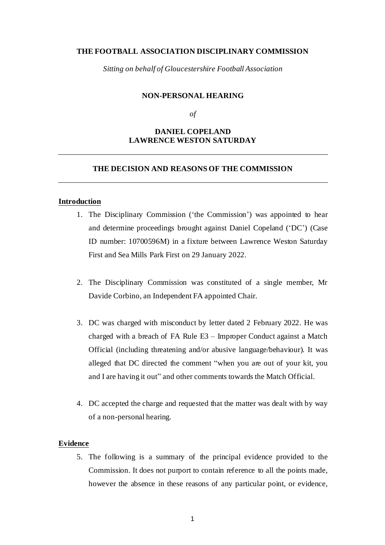### **THE FOOTBALL ASSOCIATION DISCIPLINARY COMMISSION**

*Sitting on behalf of Gloucestershire Football Association*

#### **NON-PERSONAL HEARING**

*of*

# **DANIEL COPELAND LAWRENCE WESTON SATURDAY**

# **THE DECISION AND REASONS OF THE COMMISSION**

### **Introduction**

- 1. The Disciplinary Commission ('the Commission') was appointed to hear and determine proceedings brought against Daniel Copeland ('DC') (Case ID number: 10700596M) in a fixture between Lawrence Weston Saturday First and Sea Mills Park First on 29 January 2022.
- 2. The Disciplinary Commission was constituted of a single member, Mr Davide Corbino, an Independent FA appointed Chair.
- 3. DC was charged with misconduct by letter dated 2 February 2022. He was charged with a breach of FA Rule E3 – Improper Conduct against a Match Official (including threatening and/or abusive language/behaviour). It was alleged that DC directed the comment "when you are out of your kit, you and I are having it out" and other comments towards the Match Official.
- 4. DC accepted the charge and requested that the matter was dealt with by way of a non-personal hearing.

#### **Evidence**

5. The following is a summary of the principal evidence provided to the Commission. It does not purport to contain reference to all the points made, however the absence in these reasons of any particular point, or evidence,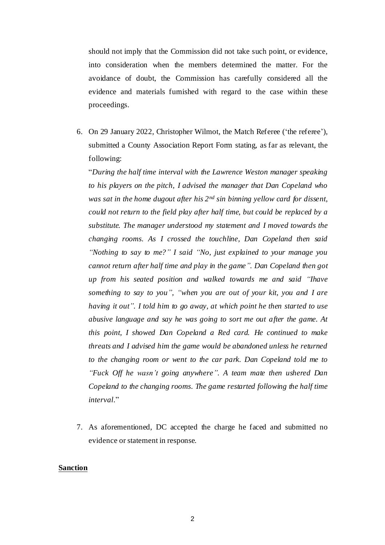should not imply that the Commission did not take such point, or evidence, into consideration when the members determined the matter. For the avoidance of doubt, the Commission has carefully considered all the evidence and materials furnished with regard to the case within these proceedings.

6. On 29 January 2022, Christopher Wilmot, the Match Referee ('the referee'), submitted a County Association Report Form stating, as far as relevant, the following:

"*During the half time interval with the Lawrence Weston manager speaking to his players on the pitch, I advised the manager that Dan Copeland who was sat in the home dugout after his 2nd sin binning yellow card for dissent, could not return to the field play after half time, but could be replaced by a substitute. The manager understood my statement and I moved towards the changing rooms. As I crossed the touchline, Dan Copeland then said "Nothing to say to me?" I said "No, just explained to your manage you cannot return after half time and play in the game". Dan Copeland then got up from his seated position and walked towards me and said "Ihave something to say to you", "when you are out of your kit, you and I are having it out". I told him to go away, at which point he then started to use abusive language and say he was going to sort me out after the game. At this point, I showed Dan Copeland a Red card. He continued to make threats and I advised him the game would be abandoned unless he returned to the changing room or went to the car park. Dan Copeland told me to "Fuck Off he wasn't going anywhere". A team mate then ushered Dan Copeland to the changing rooms. The game restarted following the half time interval*."

7. As aforementioned, DC accepted the charge he faced and submitted no evidence or statement in response.

#### **Sanction**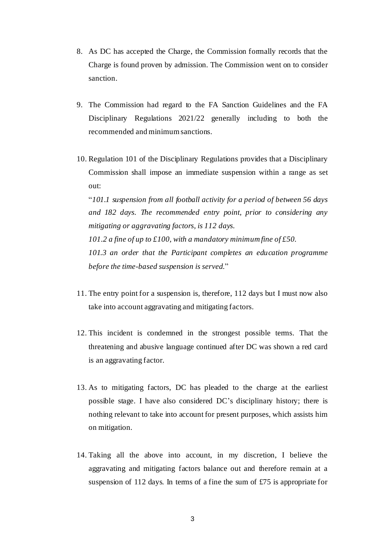- 8. As DC has accepted the Charge, the Commission formally records that the Charge is found proven by admission. The Commission went on to consider sanction.
- 9. The Commission had regard to the FA Sanction Guidelines and the FA Disciplinary Regulations 2021/22 generally including to both the recommended and minimum sanctions.
- 10. Regulation 101 of the Disciplinary Regulations provides that a Disciplinary Commission shall impose an immediate suspension within a range as set out:

"*101.1 suspension from all football activity for a period of between 56 days and 182 days. The recommended entry point, prior to considering any mitigating or aggravating factors, is 112 days. 101.2 a fine of up to £100, with a mandatory minimum fine of £50. 101.3 an order that the Participant completes an education programme before the time-based suspension is served*."

- 11. The entry point for a suspension is, therefore, 112 days but I must now also take into account aggravating and mitigating factors.
- 12. This incident is condemned in the strongest possible terms. That the threatening and abusive language continued after DC was shown a red card is an aggravating factor.
- 13. As to mitigating factors, DC has pleaded to the charge at the earliest possible stage. I have also considered DC's disciplinary history; there is nothing relevant to take into account for present purposes, which assists him on mitigation.
- 14. Taking all the above into account, in my discretion, I believe the aggravating and mitigating factors balance out and therefore remain at a suspension of 112 days. In terms of a fine the sum of £75 is appropriate for